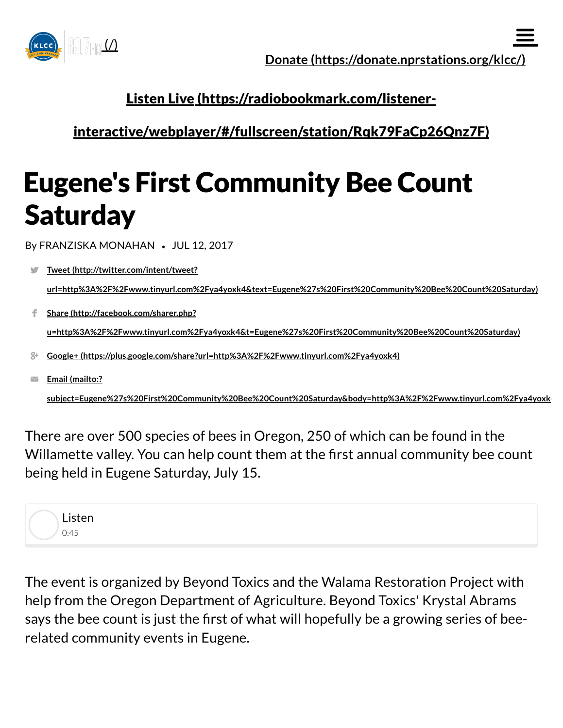

## Listen Live (https://radiobookmark.com/listener-

[interactive/webplayer/#/fullscreen/station/Rqk79FaCp26Qnz7F\)](https://radiobookmark.com/listener-interactive/webplayer/#/fullscreen/station/Rqk79FaCp26Qnz7F)

## Eugene's First Community Bee Count **Saturday**

By FRANZISKA MONAHAN • JUL 12, 2017

- Tweet (http://twitter.com/intent/tweet? [url=http%3A%2F%2Fwww.tinyurl.com%2Fya4yoxk4&text=Eugene%27s%20First%20Community%20Bee%20Count%20Saturday\)](http://twitter.com/intent/tweet?url=http%3A%2F%2Fwww.tinyurl.com%2Fya4yoxk4&text=Eugene%27s%20First%20Community%20Bee%20Count%20Saturday) J.
- Share (http://facebook.com/sharer.php? [u=http%3A%2F%2Fwww.tinyurl.com%2Fya4yoxk4&t=Eugene%27s%20First%20Community%20Bee%20Count%20Saturday\)](http://facebook.com/sharer.php?u=http%3A%2F%2Fwww.tinyurl.com%2Fya4yoxk4&t=Eugene%27s%20First%20Community%20Bee%20Count%20Saturday) f.
- Google+ [\(https://plus.google.com/share?url=http%3A%2F%2Fwww.tinyurl.com%2Fya4yoxk4\)](https://plus.google.com/share?url=http%3A%2F%2Fwww.tinyurl.com%2Fya4yoxk4)
- Email (mailto:?  $\overline{\smile}$

[subject=Eugene%27s%20First%20Community%20Bee%20Count%20Saturday&body=http%3A%2F%2Fwww.tinyurl.com%2Fya4yoxk4](mailto:?subject=Eugene%27s%20First%20Community%20Bee%20Count%20Saturday&body=http%3A%2F%2Fwww.tinyurl.com%2Fya4yoxk4)

There are over 500 species of bees in Oregon, 250 of which can be found in the Willamette valley. You can help count them at the first annual community bee count being held in Eugene Saturday, July 15.



The event is organized by Beyond Toxics and the Walama Restoration Project with help from the Oregon Department of Agriculture. Beyond Toxics' Krystal Abrams says the bee count is just the first of what will hopefully be a growing series of beerelated community events in Eugene.